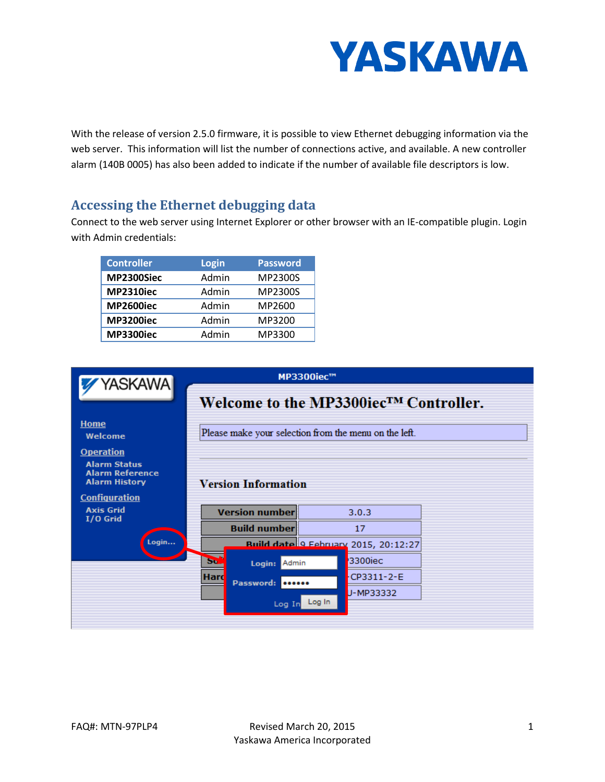

With the release of version 2.5.0 firmware, it is possible to view Ethernet debugging information via the web server. This information will list the number of connections active, and available. A new controller alarm (140B 0005) has also been added to indicate if the number of available file descriptors is low.

## **Accessing the Ethernet debugging data**

Connect to the web server using Internet Explorer or other browser with an IE-compatible plugin. Login with Admin credentials:

| <b>Controller</b> | <b>Login</b> | <b>Password</b> |
|-------------------|--------------|-----------------|
| MP2300Siec        | Admin        | MP2300S         |
| <b>MP2310iec</b>  | Admin        | MP2300S         |
| <b>MP2600iec</b>  | Admin        | MP2600          |
| <b>MP3200iec</b>  | Admin        | MP3200          |
| <b>MP3300iec</b>  | Admin        | MP3300          |

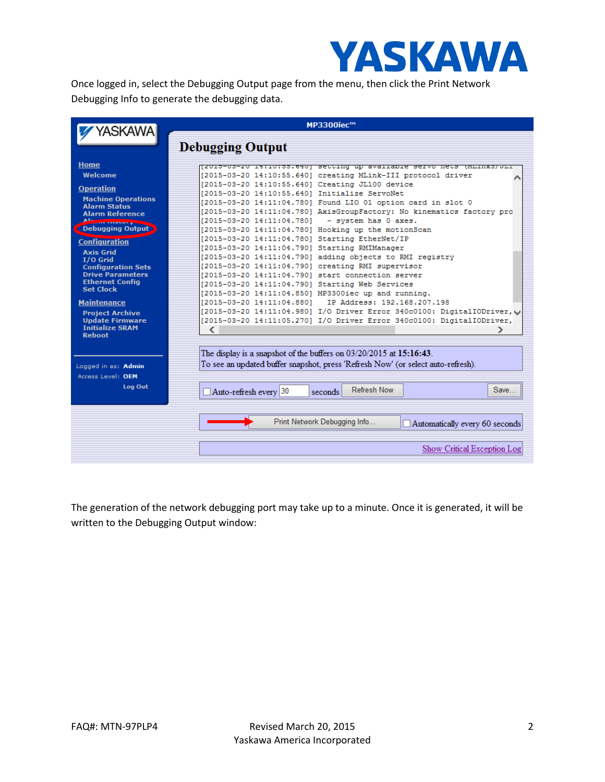

Once logged in, select the Debugging Output page from the menu, then click the Print Network Debugging Info to generate the debugging data.

| YASKAWA                                          | MP3300iec™                                                                                       |  |  |  |  |
|--------------------------------------------------|--------------------------------------------------------------------------------------------------|--|--|--|--|
|                                                  | <b>Debugging Output</b>                                                                          |  |  |  |  |
|                                                  |                                                                                                  |  |  |  |  |
| <b>Home</b>                                      | <u> Isnra-na-sh ratrotaateani asrrind no gwarrapre astio nera (mrinka)nri</u>                    |  |  |  |  |
| Welcome                                          | [2015-03-20 14:10:55.640] creating MLink-III protocol driver                                     |  |  |  |  |
| <b>Operation</b>                                 | [2015-03-20 14:10:55.640] Creating JL100 device<br>[2015-03-20 14:10:55.640] Initialize ServoNet |  |  |  |  |
| <b>Machine Operations</b>                        | [2015-03-20 14:11:04.780] Found LIO 01 option card in slot 0                                     |  |  |  |  |
| <b>Alarm Status</b>                              | [2015-03-20 14:11:04.780] AxisGroupFactory: No kinematics factory pro                            |  |  |  |  |
| <b>Alarm Reference</b>                           | [2015-03-20 14:11:04.780]<br>- system has 0 axes.                                                |  |  |  |  |
| <b>Debugging Output</b>                          | [2015-03-20 14:11:04.780] Hooking up the motionScan                                              |  |  |  |  |
|                                                  | [2015-03-20 14:11:04.780] Starting EtherNet/IP                                                   |  |  |  |  |
| <b>Configuration</b>                             | [2015-03-20 14:11:04.790] Starting RMIManager                                                    |  |  |  |  |
| <b>Axis Grid</b><br>$I/O$ Grid                   | [2015-03-20 14:11:04.790] adding objects to RMI registry                                         |  |  |  |  |
| <b>Configuration Sets</b>                        | [2015-03-20 14:11:04.790] creating RMI supervisor                                                |  |  |  |  |
| <b>Drive Parameters</b>                          | [2015-03-20 14:11:04.790] start connection server                                                |  |  |  |  |
| <b>Ethernet Config</b><br><b>Set Clock</b>       | [2015-03-20 14:11:04.790] Starting Web Services                                                  |  |  |  |  |
|                                                  | [2015-03-20 14:11:04.850] MP3300iec up and running.                                              |  |  |  |  |
| <b>Maintenance</b>                               | [2015-03-20 14:11:04.880]<br>IP Address: 192.168.207.198                                         |  |  |  |  |
| <b>Project Archive</b>                           | [2015-03-20 14:11:04.980] I/O Driver Error 340c0100: DigitalIODriver,                            |  |  |  |  |
| <b>Update Firmware</b><br><b>Initialize SRAM</b> | [2015-03-20 14:11:05.270] I/O Driver Error 340c0100: DigitalIODriver,                            |  |  |  |  |
| <b>Reboot</b>                                    | C                                                                                                |  |  |  |  |
|                                                  |                                                                                                  |  |  |  |  |
|                                                  | The display is a snapshot of the buffers on $03/20/2015$ at $15:16:43$ .                         |  |  |  |  |
| Logged in as: Admin                              | To see an updated buffer snapshot, press 'Refresh Now' (or select auto-refresh).                 |  |  |  |  |
| Access Level: OEM                                |                                                                                                  |  |  |  |  |
| <b>Log Out</b>                                   |                                                                                                  |  |  |  |  |
|                                                  | <b>Refresh Now</b><br>Save<br>Auto-refresh every 30<br>seconds                                   |  |  |  |  |
|                                                  |                                                                                                  |  |  |  |  |
|                                                  |                                                                                                  |  |  |  |  |
|                                                  | Print Network Debugging Info<br>Automatically every 60 seconds                                   |  |  |  |  |
|                                                  |                                                                                                  |  |  |  |  |
|                                                  |                                                                                                  |  |  |  |  |
|                                                  | Show Critical Exception Log                                                                      |  |  |  |  |

The generation of the network debugging port may take up to a minute. Once it is generated, it will be written to the Debugging Output window: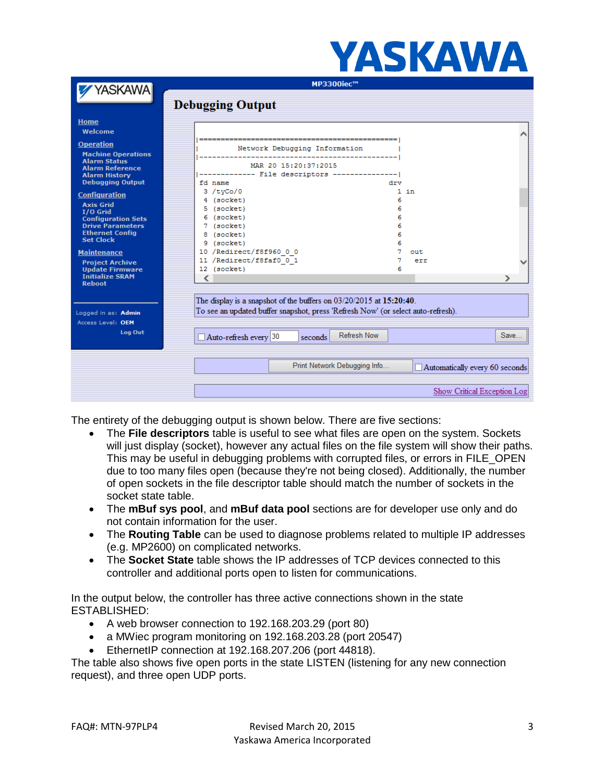|                                                                                                    |                                                                                                                                                         | ANINA W                                                        |  |
|----------------------------------------------------------------------------------------------------|---------------------------------------------------------------------------------------------------------------------------------------------------------|----------------------------------------------------------------|--|
| YASKAWA                                                                                            | <b>MP3300iec™</b>                                                                                                                                       |                                                                |  |
|                                                                                                    | <b>Debugging Output</b>                                                                                                                                 |                                                                |  |
| Home<br>Welcome                                                                                    |                                                                                                                                                         |                                                                |  |
| <b>Operation</b><br><b>Machine Operations</b>                                                      | Network Debugging Information                                                                                                                           |                                                                |  |
| <b>Alarm Status</b><br><b>Alarm Reference</b><br><b>Alarm History</b><br><b>Debugging Output</b>   | MAR 20 15:20:37:2015<br>------------- File descriptors ---------------- <br>fd name                                                                     | drv                                                            |  |
| <b>Configuration</b><br><b>Axis Grid</b><br>$I/O$ Grid                                             | 3 / tvCo/O<br>4 (socket)<br>5 (socket)                                                                                                                  | $1$ in<br>6<br>6                                               |  |
| <b>Configuration Sets</b><br><b>Drive Parameters</b><br><b>Ethernet Config</b><br><b>Set Clock</b> | 6 (socket)<br>7 (socket)<br>8 (socket)                                                                                                                  | 6<br>6<br>6                                                    |  |
| <b>Maintenance</b><br><b>Project Archive</b><br><b>Update Firmware</b>                             | 9 (socket)<br>10 /Redirect/f8f960 0 0<br>11 /Redirect/f8faf0 0 1<br>12 (socket)                                                                         | 6<br>7<br>out<br>err<br>6                                      |  |
| <b>Initialize SRAM</b><br><b>Reboot</b>                                                            |                                                                                                                                                         |                                                                |  |
| Logged in as: Admin<br>Access Level: OEM                                                           | The display is a snapshot of the buffers on 03/20/2015 at 15:20:40.<br>To see an updated buffer snapshot, press 'Refresh Now' (or select auto-refresh). |                                                                |  |
| Log Out                                                                                            | Auto-refresh every 30<br>seconds                                                                                                                        | <b>Refresh Now</b><br>Save                                     |  |
|                                                                                                    |                                                                                                                                                         | Print Network Debugging Info<br>Automatically every 60 seconds |  |
|                                                                                                    |                                                                                                                                                         | Show Critical Exception Log                                    |  |

VACVAWA

The entirety of the debugging output is shown below. There are five sections:

- The **File descriptors** table is useful to see what files are open on the system. Sockets will just display (socket), however any actual files on the file system will show their paths. This may be useful in debugging problems with corrupted files, or errors in FILE\_OPEN due to too many files open (because they're not being closed). Additionally, the number of open sockets in the file descriptor table should match the number of sockets in the socket state table.
- The **mBuf sys pool**, and **mBuf data pool** sections are for developer use only and do not contain information for the user.
- The **Routing Table** can be used to diagnose problems related to multiple IP addresses (e.g. MP2600) on complicated networks.
- The **Socket State** table shows the IP addresses of TCP devices connected to this controller and additional ports open to listen for communications.

In the output below, the controller has three active connections shown in the state ESTABLISHED:

- A web browser connection to 192.168.203.29 (port 80)
- a MWiec program monitoring on 192.168.203.28 (port 20547)
- EthernetIP connection at 192.168.207.206 (port 44818).

The table also shows five open ports in the state LISTEN (listening for any new connection request), and three open UDP ports.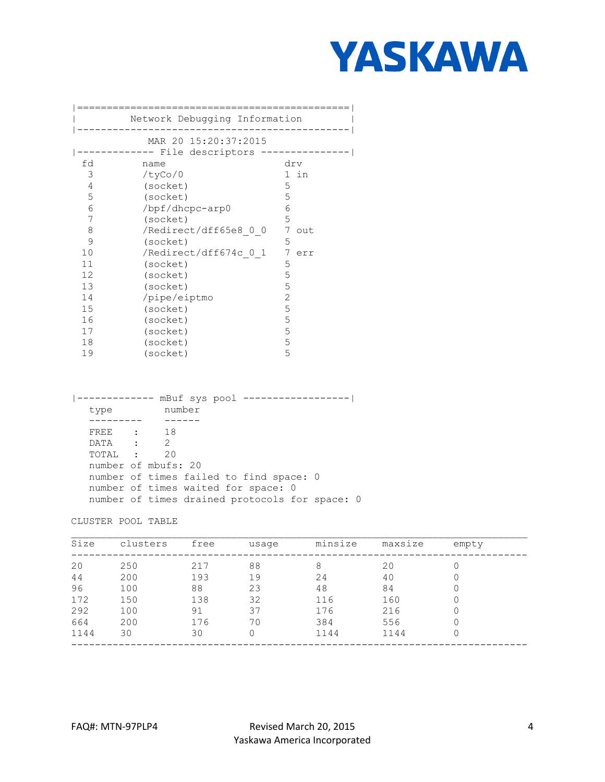

|              | Network Debugging Information           |          |
|--------------|-----------------------------------------|----------|
|              | MAR 20 15:20:37:2015                    |          |
|              | ------- File descriptors -------------- |          |
| fd<br>name   |                                         | drv      |
|              |                                         |          |
| 3<br>/tyCo/O |                                         | 1 in     |
| 4            | (socket)                                | 5        |
| 5            | (socket)                                | 5        |
| 6            | /bpf/dhcpc-arp0                         | 6        |
| 7            | (socket)                                | 5        |
| 8            | /Redirect/dff65e8 0 0                   | 7<br>out |
| 9            | (socket)                                | 5        |
| 10           | /Redirect/dff674c 0 1                   | 7<br>err |
| 11           | (socket)                                | 5        |
| 12           | (socket)                                | 5        |
| 13           | (socket)                                | 5        |
| 14           | /pipe/eiptmo                            | 2        |
| 15           | (socket)                                | 5        |
| 16           | (socket)                                | 5        |
| 17           | (socket)                                | 5        |
| 18           | (socket)                                | 5        |
| 19           | (socket)                                | 5        |

|           | mBuf sys pool -----------------                |  |
|-----------|------------------------------------------------|--|
| type      | number                                         |  |
|           |                                                |  |
| FREE : 18 |                                                |  |
| DATA :    | $\mathcal{L}$                                  |  |
| TOTAL :   | 20                                             |  |
|           | number of mbufs: 20                            |  |
|           | number of times failed to find space: 0        |  |
|           | number of times waited for space: 0            |  |
|           | number of times drained protocols for space: 0 |  |

CLUSTER POOL TABLE

| Size | clusters | free | usage | minsize | maxsize | empty |  |
|------|----------|------|-------|---------|---------|-------|--|
| 20   | 250      | 217  | 88    | 8       | 20      |       |  |
| 44   | 200      | 193  | 19    | 24      | 40      |       |  |
| 96   | 100      | 88   | 23    | 48      | 84      |       |  |
| 172  | 150      | 138  | 32    | 116     | 160     |       |  |
| 292  | 100      | 91   | 37    | 176     | 216     |       |  |
| 664  | 200      | 176  | 70    | 384     | 556     |       |  |
| 1144 | 30       | 30   | 0     | 1144    | 1144    |       |  |
|      |          |      |       |         |         |       |  |